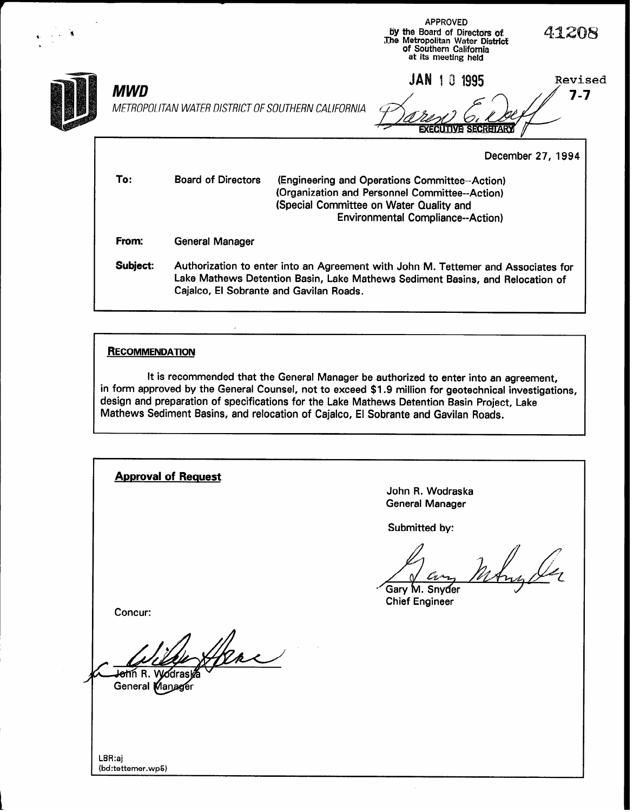|          |                                                    | <b>APPROVED</b><br>by the Board of Directors of<br>The Metropolitan Water District<br>of Southern California<br>at its meeting held                                                     | 41208              |
|----------|----------------------------------------------------|-----------------------------------------------------------------------------------------------------------------------------------------------------------------------------------------|--------------------|
| MWD      | METROPOLITAN WATER DISTRICT OF SOUTHERN CALIFORNIA | JAN<br>Û<br>1995<br><b>EXECUTIVE SECRETAR</b>                                                                                                                                           | Revised<br>$7 - 7$ |
|          |                                                    |                                                                                                                                                                                         | December 27, 1994  |
| To:      | <b>Board of Directors</b>                          | (Engineering and Operations Committee--Action)<br>(Organization and Personnel Committee--Action)<br>(Special Committee on Water Quality and<br><b>Environmental Compliance--Action)</b> |                    |
| From:    | <b>General Manager</b>                             |                                                                                                                                                                                         |                    |
| Subject: | Cajalco, El Sobrante and Gavilan Roads.            | Authorization to enter into an Agreement with John M. Tettemer and Associates for<br>Lake Mathews Detention Basin, Lake Mathews Sediment Basins, and Relocation of                      |                    |

# **RECOMMENDATION**

It is recommended that the General Manager be authorized to enter into an agreement, in form approved by the General Counsel, not to exceed \$1.9 million for geotechnical investigations, design and preparation of specifications for the Lake Mathews Detention Basin Project, Lake Mathews Sediment Basins, and relocation of Cajalco, El Sobrante and Gavilan Roads.

| <b>Approval of Request</b>                      | John R. Wodraska                              |
|-------------------------------------------------|-----------------------------------------------|
|                                                 | <b>General Manager</b>                        |
|                                                 |                                               |
|                                                 | Submitted by:                                 |
| Concur:                                         | an<br>Gary M. Snyder<br><b>Chief Engineer</b> |
| <del>o</del> hn R. Vyódraskā<br>General Manager |                                               |
| LBR:aj                                          |                                               |
| (bd:tettemer.wp5)                               |                                               |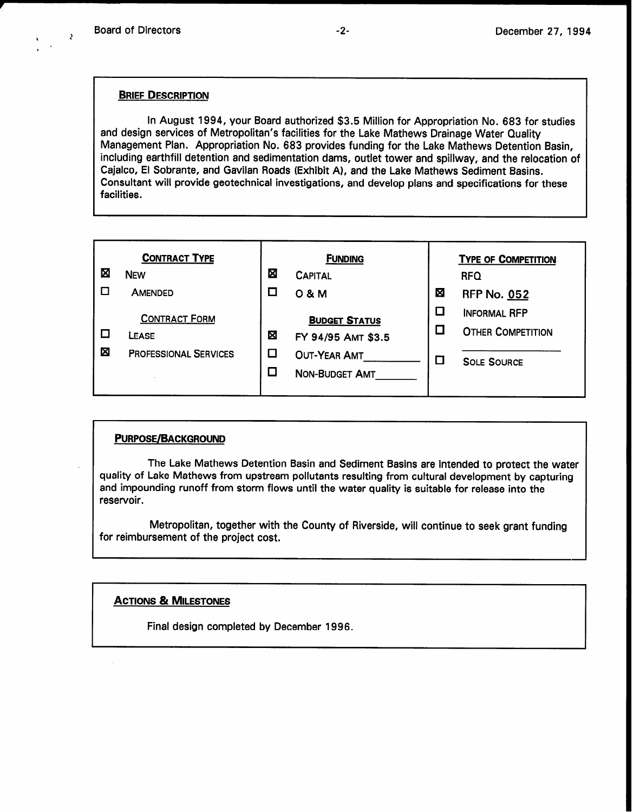$\lambda$ 

#### BRIEF DESCRIPTION

In August 1994, your Board authorized \$3.5 Million for Appropriation No. 683 for studies and design services of Metropolitan's facilities for the Lake Mathews Drainage Water Quality Management Plan. Appropriation No. 683 provides funding for the Lake Mathews Detention Basin, including earthfill detention and sedimentation dams, outlet tower and spillway, and the relocation of Cajalco, El Sobrante, and Gavilan Roads (Exhibit A), and the Lake Mathews Sediment Basins. Consultant will provide geotechnical investigations, and develop plans and specifications for these facilities.

|   | <b>CONTRACT TYPE</b>                                          |        | <b>FUNDING</b>                                                                             |        | <b>TYPE OF COMPETITION</b>                                            |
|---|---------------------------------------------------------------|--------|--------------------------------------------------------------------------------------------|--------|-----------------------------------------------------------------------|
| Σ | <b>NEW</b>                                                    | ⊠      | <b>CAPITAL</b>                                                                             |        | <b>RFQ</b>                                                            |
|   | <b>AMENDED</b>                                                |        | 0 & M                                                                                      | ⊠      | <b>RFP No. 052</b>                                                    |
| 図 | <b>CONTRACT FORM</b><br>LEASE<br><b>PROFESSIONAL SERVICES</b> | ⊠<br>ш | <b>BUDGET STATUS</b><br>FY 94/95 AMT \$3.5<br><b>OUT-YEAR AMT</b><br><b>NON-BUDGET AMT</b> | ப<br>L | <b>INFORMAL RFP</b><br><b>OTHER COMPETITION</b><br><b>SOLE SOURCE</b> |

#### **PURPOSE/BACKGROUND**

The Lake Mathews Detention Basin and Sediment Basins are intended to protect the water quality of Lake Mathews from upstream pollutants resulting from cultural development by capturing and impounding runoff from storm flows until the water quality is suitable for release into the reservoir.

Metropolitan, together with the County of Riverside, will continue to seek grant funding for reimbursement of the project cost.

### ACTIONS & MILESTONES

Final design completed by December 1996.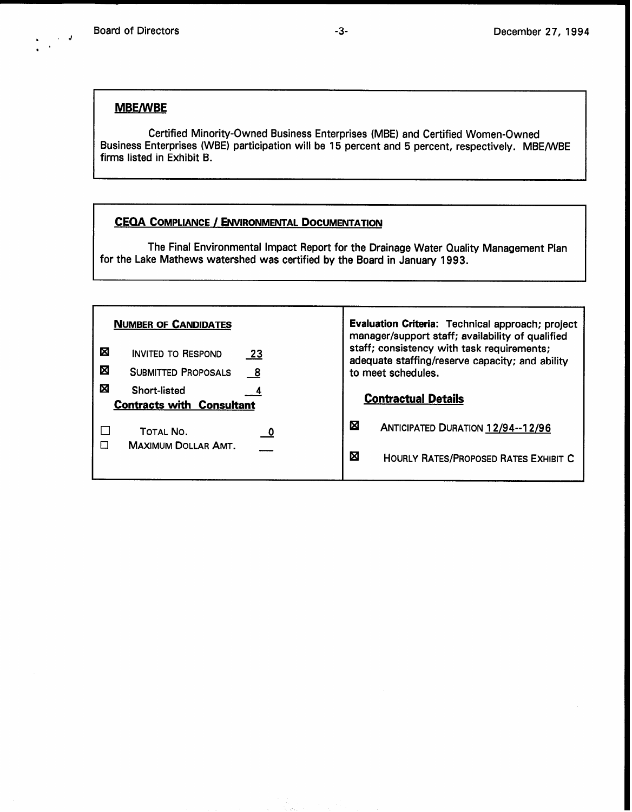### MBE/WBE

Certified Minority-Owned Business Enterprises (MBE) and Certified Women-Owned Business Enterprises (WBE) participation will be 15 percent and 5 percent, respectively. MBE/WBE firms listed in Exhibit B.

## CEQA COMPLIANCE / ENVIRONMENTAL DOCUMENTATION

The Final Environmental Impact Report for the Drainage Water Quality Management Plan for the Lake Mathews watershed was certified by the Board in January 1993.

| <b>NUMBER OF CANDIDATES</b>                                  |                                                |                            | Evaluation Criteria: Technical approach; project<br>manager/support staff; availability of qualified                |                                              |  |
|--------------------------------------------------------------|------------------------------------------------|----------------------------|---------------------------------------------------------------------------------------------------------------------|----------------------------------------------|--|
| ⊠                                                            | <b>INVITED TO RESPOND</b>                      | -23                        | staff; consistency with task requirements;<br>adequate staffing/reserve capacity; and ability<br>to meet schedules. |                                              |  |
| ⊠                                                            | <b>SUBMITTED PROPOSALS</b>                     | $\overline{\phantom{0}}^8$ |                                                                                                                     |                                              |  |
| ⊠<br><b>Short-listed</b><br><b>Contracts with Consultant</b> |                                                | <b>Contractual Details</b> |                                                                                                                     |                                              |  |
|                                                              | <b>TOTAL NO.</b><br><b>MAXIMUM DOLLAR AMT.</b> | - 0                        | 囟                                                                                                                   | <b>ANTICIPATED DURATION 12/94--12/96</b>     |  |
|                                                              |                                                |                            | 囟                                                                                                                   | <b>HOURLY RATES/PROPOSED RATES EXHIBIT C</b> |  |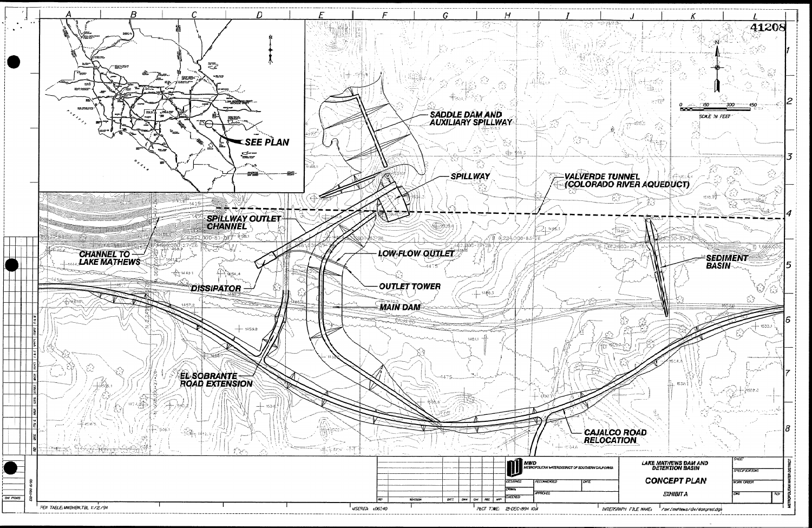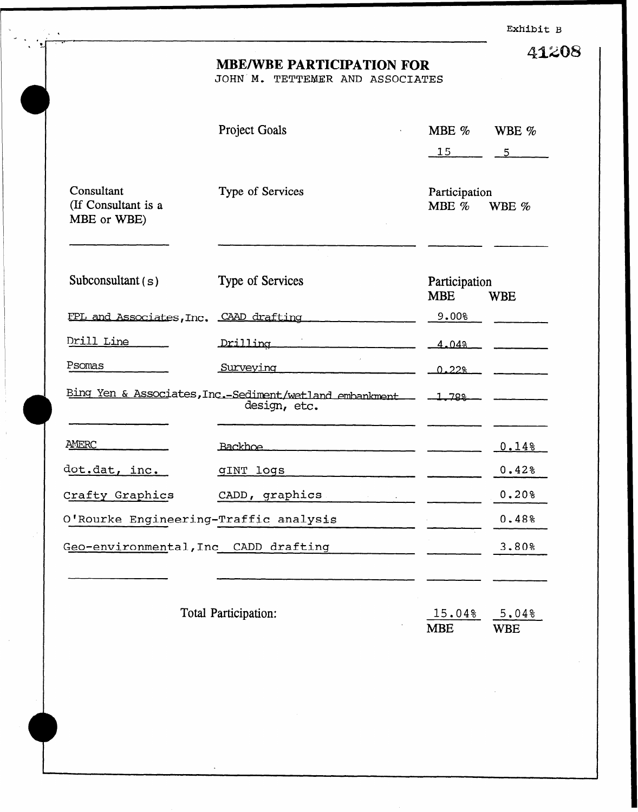Exhibit B

41208

## MBE/WBE PARTICIPATION FOR

JOHN M. TETTEMER AND ASSOCIATES

|                                                  | Project Goals                                                           | MBE %<br>15                     | WBE %<br>5          |
|--------------------------------------------------|-------------------------------------------------------------------------|---------------------------------|---------------------|
| Consultant<br>(If Consultant is a<br>MBE or WBE) | Type of Services                                                        | Participation<br>MBE %<br>WBE % |                     |
| Subconsultant $(s)$                              | Type of Services                                                        | Participation<br><b>MBE</b>     | <b>WBE</b>          |
| FPL and Associates, Inc. CAAD drafting           |                                                                         | 9.00%                           |                     |
| Drill Line                                       | Drilling                                                                | 4.04%                           |                     |
| Psomas                                           | Surveying                                                               | $0.22$ %                        |                     |
|                                                  | Bing Yen & Associates, Inc.-Sediment/wetland embankment<br>design, etc. | $-1.788$                        |                     |
| AMERC                                            | Backhoe                                                                 |                                 | 0.148               |
| dot.dat, inc.                                    | <b>GINT logs</b>                                                        |                                 | $0.42$ <sup>8</sup> |
| Crafty Graphics                                  | CADD, graphics                                                          |                                 | 0.208               |
| O'Rourke Engineering-Traffic analysis            |                                                                         |                                 | 0.48%               |
| Geo-environmental, Inc CADD drafting             |                                                                         |                                 | 3.80%               |
|                                                  | Total Participation:                                                    | 15.04%<br><b>MBE</b>            | 5.04%<br><b>WBE</b> |